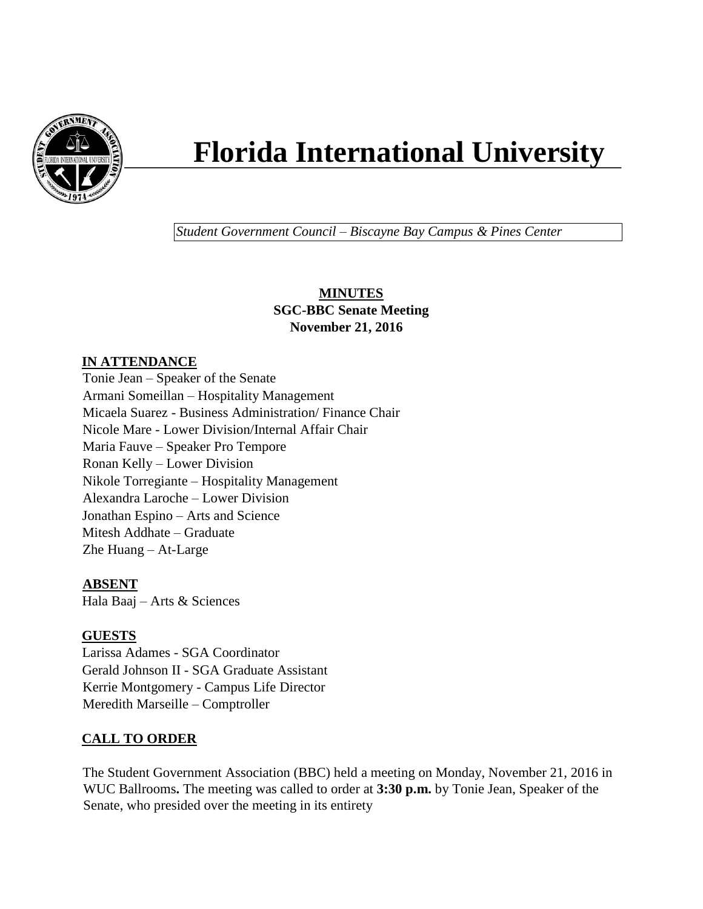

# **Florida International University**

*Student Government Council – Biscayne Bay Campus & Pines Center*

# **MINUTES SGC-BBC Senate Meeting November 21, 2016**

# **IN ATTENDANCE**

Tonie Jean – Speaker of the Senate Armani Someillan – Hospitality Management Micaela Suarez - Business Administration/ Finance Chair Nicole Mare - Lower Division/Internal Affair Chair Maria Fauve – Speaker Pro Tempore Ronan Kelly – Lower Division Nikole Torregiante – Hospitality Management Alexandra Laroche – Lower Division Jonathan Espino – Arts and Science Mitesh Addhate – Graduate Zhe Huang – At-Large

# **ABSENT**

Hala Baaj – Arts & Sciences

# **GUESTS**

Larissa Adames - SGA Coordinator Gerald Johnson II - SGA Graduate Assistant Kerrie Montgomery - Campus Life Director Meredith Marseille – Comptroller

# **CALL TO ORDER**

The Student Government Association (BBC) held a meeting on Monday, November 21, 2016 in WUC Ballrooms**.** The meeting was called to order at **3:30 p.m.** by Tonie Jean, Speaker of the Senate, who presided over the meeting in its entirety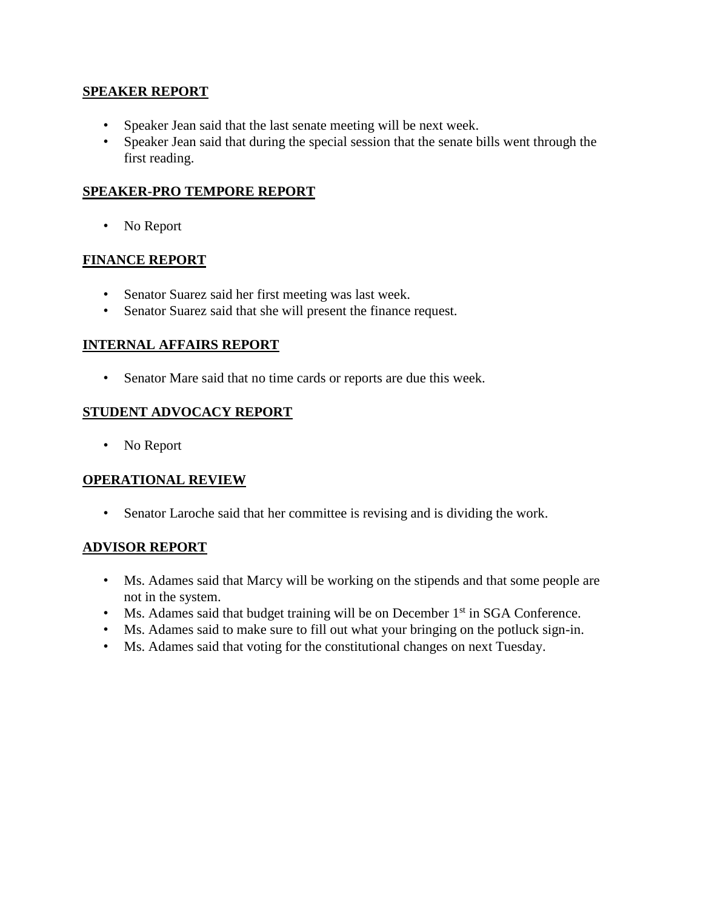### **SPEAKER REPORT**

- Speaker Jean said that the last senate meeting will be next week.
- Speaker Jean said that during the special session that the senate bills went through the first reading.

## **SPEAKER-PRO TEMPORE REPORT**

• No Report

### **FINANCE REPORT**

- Senator Suarez said her first meeting was last week.
- Senator Suarez said that she will present the finance request.

### **INTERNAL AFFAIRS REPORT**

• Senator Mare said that no time cards or reports are due this week.

# **STUDENT ADVOCACY REPORT**

• No Report

#### **OPERATIONAL REVIEW**

• Senator Laroche said that her committee is revising and is dividing the work.

#### **ADVISOR REPORT**

- Ms. Adames said that Marcy will be working on the stipends and that some people are not in the system.
- Ms. Adames said that budget training will be on December 1<sup>st</sup> in SGA Conference.
- Ms. Adames said to make sure to fill out what your bringing on the potluck sign-in.
- Ms. Adames said that voting for the constitutional changes on next Tuesday.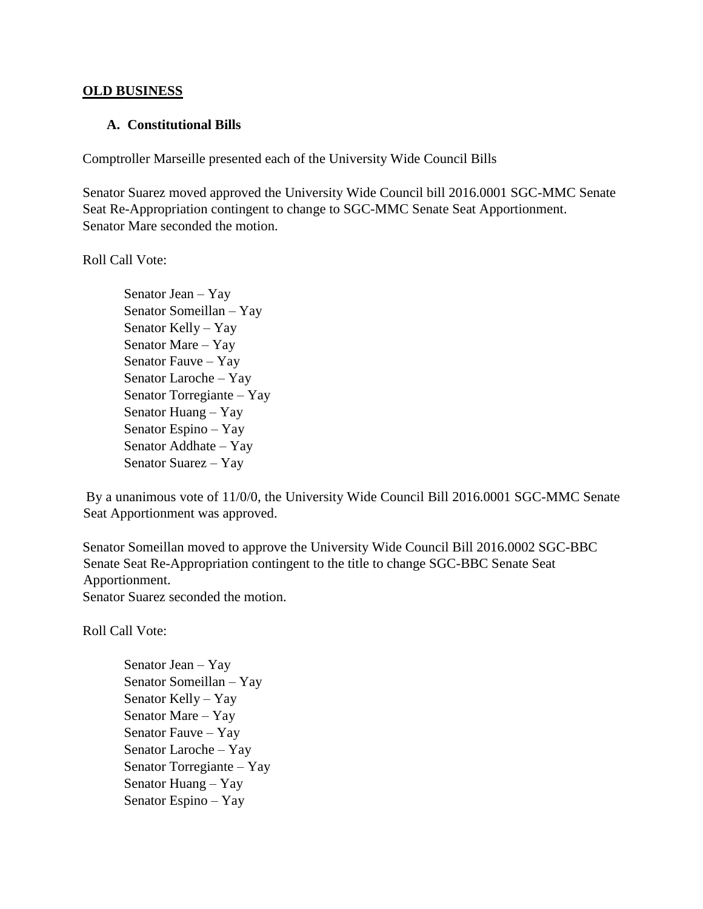#### **OLD BUSINESS**

#### **A. Constitutional Bills**

Comptroller Marseille presented each of the University Wide Council Bills

Senator Suarez moved approved the University Wide Council bill 2016.0001 SGC-MMC Senate Seat Re-Appropriation contingent to change to SGC-MMC Senate Seat Apportionment. Senator Mare seconded the motion.

Roll Call Vote:

Senator Jean – Yay Senator Someillan – Yay Senator Kelly – Yay Senator Mare – Yay Senator Fauve – Yay Senator Laroche – Yay Senator Torregiante – Yay Senator Huang – Yay Senator Espino – Yay Senator Addhate – Yay Senator Suarez – Yay

By a unanimous vote of 11/0/0, the University Wide Council Bill 2016.0001 SGC-MMC Senate Seat Apportionment was approved.

Senator Someillan moved to approve the University Wide Council Bill 2016.0002 SGC-BBC Senate Seat Re-Appropriation contingent to the title to change SGC-BBC Senate Seat Apportionment.

Senator Suarez seconded the motion.

Roll Call Vote:

Senator Jean – Yay Senator Someillan – Yay Senator Kelly – Yay Senator Mare – Yay Senator Fauve – Yay Senator Laroche – Yay Senator Torregiante – Yay Senator Huang – Yay Senator Espino – Yay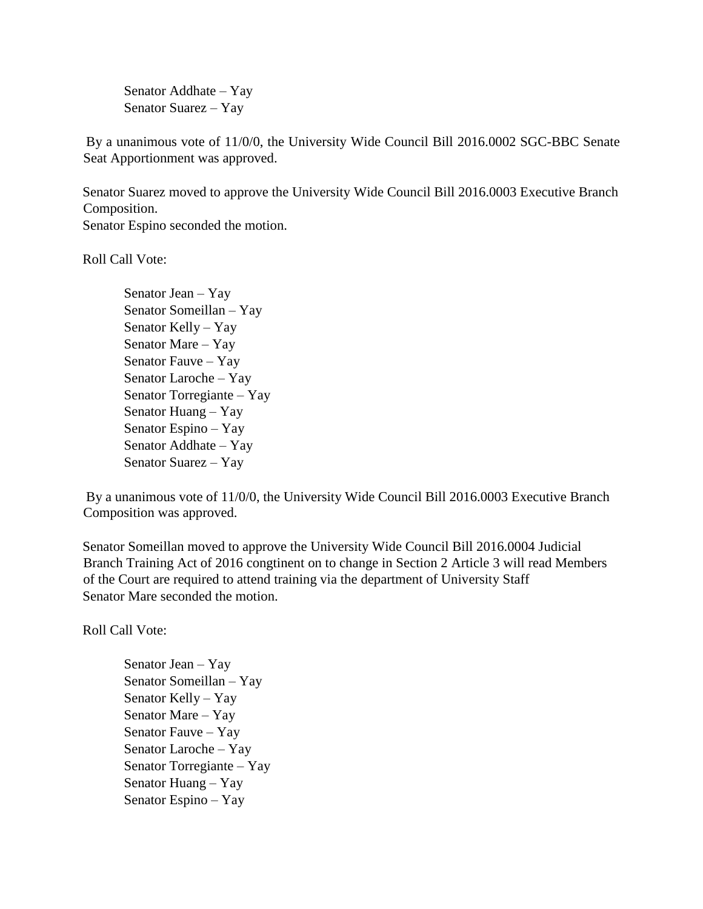Senator Addhate – Yay Senator Suarez – Yay

By a unanimous vote of 11/0/0, the University Wide Council Bill 2016.0002 SGC-BBC Senate Seat Apportionment was approved.

Senator Suarez moved to approve the University Wide Council Bill 2016.0003 Executive Branch Composition.

Senator Espino seconded the motion.

Roll Call Vote:

Senator Jean – Yay Senator Someillan – Yay Senator Kelly – Yay Senator Mare – Yay Senator Fauve – Yay Senator Laroche – Yay Senator Torregiante – Yay Senator Huang – Yay Senator Espino – Yay Senator Addhate – Yay Senator Suarez – Yay

By a unanimous vote of 11/0/0, the University Wide Council Bill 2016.0003 Executive Branch Composition was approved.

Senator Someillan moved to approve the University Wide Council Bill 2016.0004 Judicial Branch Training Act of 2016 congtinent on to change in Section 2 Article 3 will read Members of the Court are required to attend training via the department of University Staff Senator Mare seconded the motion.

Roll Call Vote:

Senator Jean – Yay Senator Someillan – Yay Senator Kelly – Yay Senator Mare – Yay Senator Fauve – Yay Senator Laroche – Yay Senator Torregiante – Yay Senator Huang – Yay Senator Espino – Yay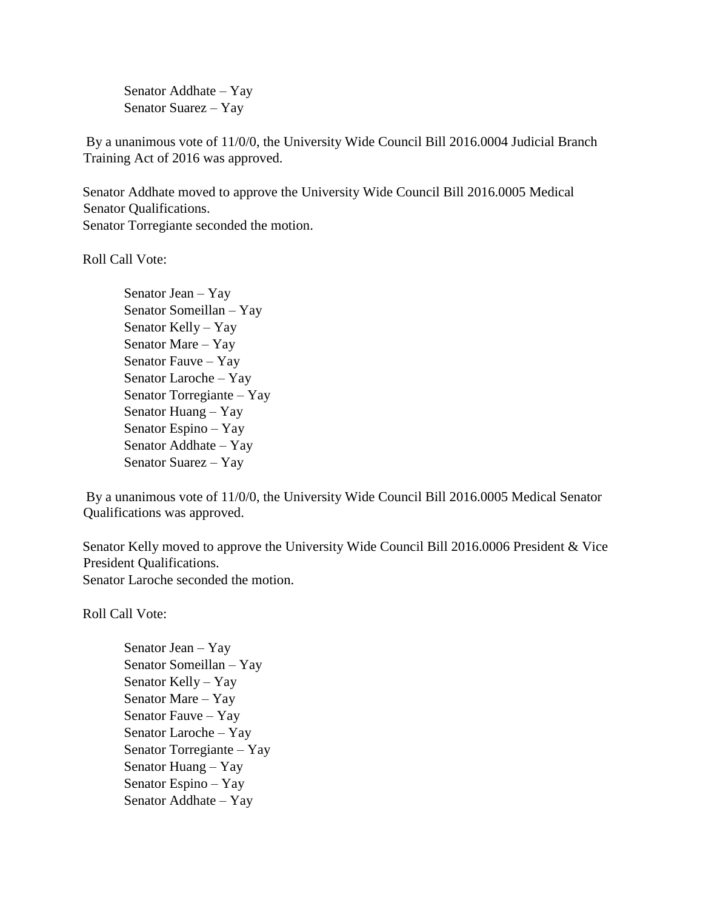Senator Addhate – Yay Senator Suarez – Yay

By a unanimous vote of 11/0/0, the University Wide Council Bill 2016.0004 Judicial Branch Training Act of 2016 was approved.

Senator Addhate moved to approve the University Wide Council Bill 2016.0005 Medical Senator Qualifications. Senator Torregiante seconded the motion.

Roll Call Vote:

Senator Jean – Yay Senator Someillan – Yay Senator Kelly – Yay Senator Mare – Yay Senator Fauve – Yay Senator Laroche – Yay Senator Torregiante – Yay Senator Huang – Yay Senator Espino – Yay Senator Addhate – Yay Senator Suarez – Yay

By a unanimous vote of 11/0/0, the University Wide Council Bill 2016.0005 Medical Senator Qualifications was approved.

Senator Kelly moved to approve the University Wide Council Bill 2016.0006 President & Vice President Qualifications. Senator Laroche seconded the motion.

Roll Call Vote:

Senator Jean – Yay Senator Someillan – Yay Senator Kelly – Yay Senator Mare – Yay Senator Fauve – Yay Senator Laroche – Yay Senator Torregiante – Yay Senator Huang – Yay Senator Espino – Yay Senator Addhate – Yay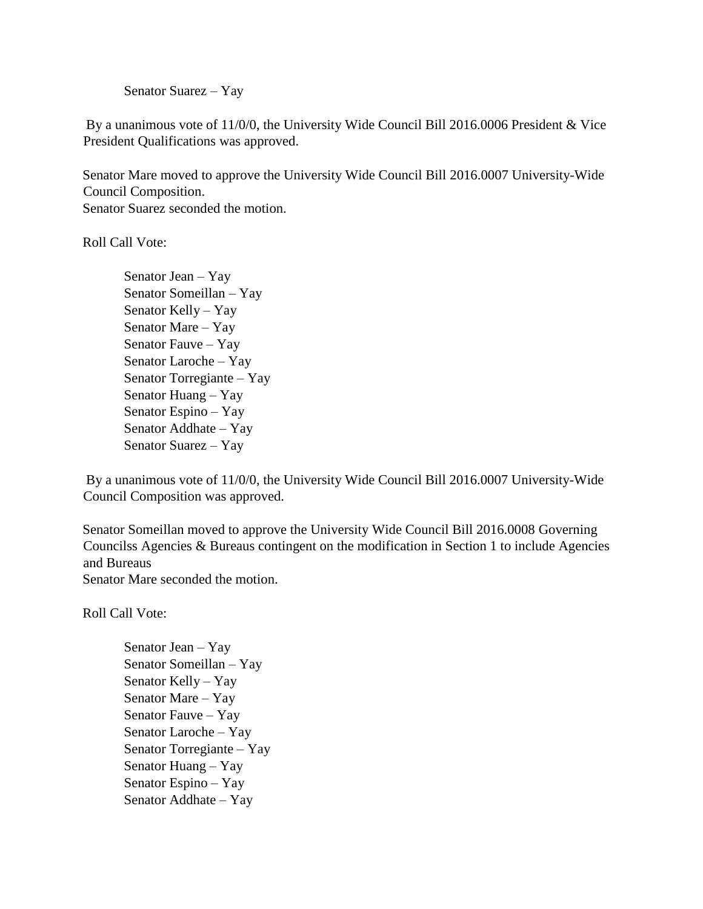Senator Suarez – Yay

By a unanimous vote of 11/0/0, the University Wide Council Bill 2016.0006 President & Vice President Qualifications was approved.

Senator Mare moved to approve the University Wide Council Bill 2016.0007 University-Wide Council Composition. Senator Suarez seconded the motion.

Roll Call Vote:

Senator Jean – Yay Senator Someillan – Yay Senator Kelly – Yay Senator Mare – Yay Senator Fauve – Yay Senator Laroche – Yay Senator Torregiante – Yay Senator Huang – Yay Senator Espino – Yay Senator Addhate – Yay Senator Suarez – Yay

By a unanimous vote of 11/0/0, the University Wide Council Bill 2016.0007 University-Wide Council Composition was approved.

Senator Someillan moved to approve the University Wide Council Bill 2016.0008 Governing Councilss Agencies & Bureaus contingent on the modification in Section 1 to include Agencies and Bureaus

Senator Mare seconded the motion.

Roll Call Vote:

Senator Jean – Yay Senator Someillan – Yay Senator Kelly – Yay Senator Mare – Yay Senator Fauve – Yay Senator Laroche – Yay Senator Torregiante – Yay Senator Huang – Yay Senator Espino – Yay Senator Addhate – Yay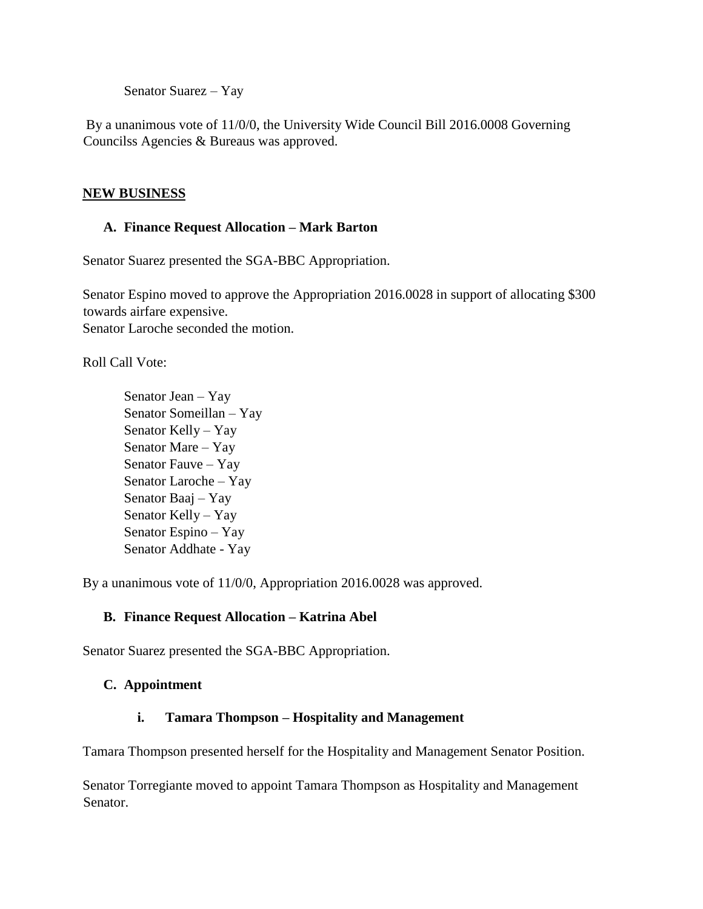Senator Suarez – Yay

By a unanimous vote of 11/0/0, the University Wide Council Bill 2016.0008 Governing Councilss Agencies & Bureaus was approved.

## **NEW BUSINESS**

## **A. Finance Request Allocation – Mark Barton**

Senator Suarez presented the SGA-BBC Appropriation.

Senator Espino moved to approve the Appropriation 2016.0028 in support of allocating \$300 towards airfare expensive. Senator Laroche seconded the motion.

Roll Call Vote:

Senator Jean – Yay Senator Someillan – Yay Senator Kelly – Yay Senator Mare – Yay Senator Fauve – Yay Senator Laroche – Yay Senator Baaj – Yay Senator Kelly – Yay Senator Espino – Yay Senator Addhate - Yay

By a unanimous vote of 11/0/0, Appropriation 2016.0028 was approved.

# **B. Finance Request Allocation – Katrina Abel**

Senator Suarez presented the SGA-BBC Appropriation.

# **C. Appointment**

# **i. Tamara Thompson – Hospitality and Management**

Tamara Thompson presented herself for the Hospitality and Management Senator Position.

Senator Torregiante moved to appoint Tamara Thompson as Hospitality and Management Senator.